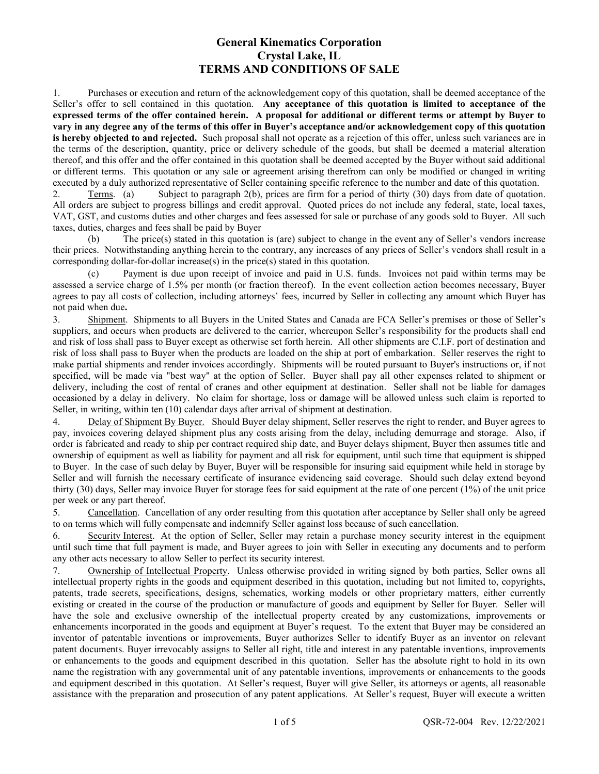## General Kinematics Corporation Crystal Lake, IL TERMS AND CONDITIONS OF SALE

1. Purchases or execution and return of the acknowledgement copy of this quotation, shall be deemed acceptance of the Seller's offer to sell contained in this quotation. Any acceptance of this quotation is limited to acceptance of the expressed terms of the offer contained herein. A proposal for additional or different terms or attempt by Buyer to vary in any degree any of the terms of this offer in Buyer's acceptance and/or acknowledgement copy of this quotation is hereby objected to and rejected. Such proposal shall not operate as a rejection of this offer, unless such variances are in the terms of the description, quantity, price or delivery schedule of the goods, but shall be deemed a material alteration thereof, and this offer and the offer contained in this quotation shall be deemed accepted by the Buyer without said additional or different terms. This quotation or any sale or agreement arising therefrom can only be modified or changed in writing executed by a duly authorized representative of Seller containing specific reference to the number and date of this quotation.

2. Terms. (a) Subject to paragraph 2(b), prices are firm for a period of thirty (30) days from date of quotation. All orders are subject to progress billings and credit approval. Quoted prices do not include any federal, state, local taxes, VAT, GST, and customs duties and other charges and fees assessed for sale or purchase of any goods sold to Buyer. All such taxes, duties, charges and fees shall be paid by Buyer

 (b) The price(s) stated in this quotation is (are) subject to change in the event any of Seller's vendors increase their prices. Notwithstanding anything herein to the contrary, any increases of any prices of Seller's vendors shall result in a corresponding dollar-for-dollar increase(s) in the price(s) stated in this quotation.

 (c) Payment is due upon receipt of invoice and paid in U.S. funds. Invoices not paid within terms may be assessed a service charge of 1.5% per month (or fraction thereof). In the event collection action becomes necessary, Buyer agrees to pay all costs of collection, including attorneys' fees, incurred by Seller in collecting any amount which Buyer has not paid when due.

3. Shipment. Shipments to all Buyers in the United States and Canada are FCA Seller's premises or those of Seller's suppliers, and occurs when products are delivered to the carrier, whereupon Seller's responsibility for the products shall end and risk of loss shall pass to Buyer except as otherwise set forth herein. All other shipments are C.I.F. port of destination and risk of loss shall pass to Buyer when the products are loaded on the ship at port of embarkation. Seller reserves the right to make partial shipments and render invoices accordingly. Shipments will be routed pursuant to Buyer's instructions or, if not specified, will be made via "best way" at the option of Seller. Buyer shall pay all other expenses related to shipment or delivery, including the cost of rental of cranes and other equipment at destination. Seller shall not be liable for damages occasioned by a delay in delivery. No claim for shortage, loss or damage will be allowed unless such claim is reported to Seller, in writing, within ten (10) calendar days after arrival of shipment at destination.

4. Delay of Shipment By Buyer. Should Buyer delay shipment, Seller reserves the right to render, and Buyer agrees to pay, invoices covering delayed shipment plus any costs arising from the delay, including demurrage and storage. Also, if order is fabricated and ready to ship per contract required ship date, and Buyer delays shipment, Buyer then assumes title and ownership of equipment as well as liability for payment and all risk for equipment, until such time that equipment is shipped to Buyer. In the case of such delay by Buyer, Buyer will be responsible for insuring said equipment while held in storage by Seller and will furnish the necessary certificate of insurance evidencing said coverage. Should such delay extend beyond thirty (30) days, Seller may invoice Buyer for storage fees for said equipment at the rate of one percent (1%) of the unit price per week or any part thereof.

5. Cancellation. Cancellation of any order resulting from this quotation after acceptance by Seller shall only be agreed to on terms which will fully compensate and indemnify Seller against loss because of such cancellation.

6. Security Interest. At the option of Seller, Seller may retain a purchase money security interest in the equipment until such time that full payment is made, and Buyer agrees to join with Seller in executing any documents and to perform any other acts necessary to allow Seller to perfect its security interest.

7. Ownership of Intellectual Property. Unless otherwise provided in writing signed by both parties, Seller owns all intellectual property rights in the goods and equipment described in this quotation, including but not limited to, copyrights, patents, trade secrets, specifications, designs, schematics, working models or other proprietary matters, either currently existing or created in the course of the production or manufacture of goods and equipment by Seller for Buyer. Seller will have the sole and exclusive ownership of the intellectual property created by any customizations, improvements or enhancements incorporated in the goods and equipment at Buyer's request. To the extent that Buyer may be considered an inventor of patentable inventions or improvements, Buyer authorizes Seller to identify Buyer as an inventor on relevant patent documents. Buyer irrevocably assigns to Seller all right, title and interest in any patentable inventions, improvements or enhancements to the goods and equipment described in this quotation. Seller has the absolute right to hold in its own name the registration with any governmental unit of any patentable inventions, improvements or enhancements to the goods and equipment described in this quotation. At Seller's request, Buyer will give Seller, its attorneys or agents, all reasonable assistance with the preparation and prosecution of any patent applications. At Seller's request, Buyer will execute a written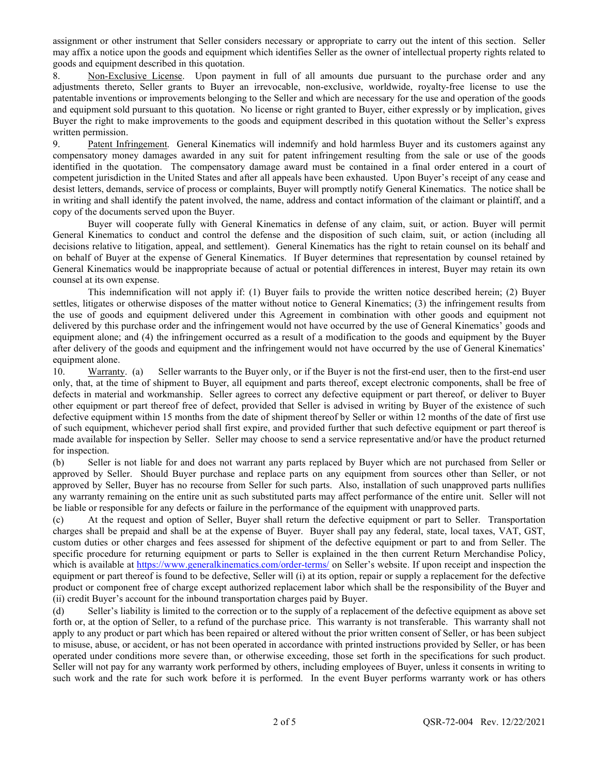assignment or other instrument that Seller considers necessary or appropriate to carry out the intent of this section. Seller may affix a notice upon the goods and equipment which identifies Seller as the owner of intellectual property rights related to goods and equipment described in this quotation.

8. Non-Exclusive License. Upon payment in full of all amounts due pursuant to the purchase order and any adjustments thereto, Seller grants to Buyer an irrevocable, non-exclusive, worldwide, royalty-free license to use the patentable inventions or improvements belonging to the Seller and which are necessary for the use and operation of the goods and equipment sold pursuant to this quotation. No license or right granted to Buyer, either expressly or by implication, gives Buyer the right to make improvements to the goods and equipment described in this quotation without the Seller's express written permission.

9. Patent Infringement. General Kinematics will indemnify and hold harmless Buyer and its customers against any compensatory money damages awarded in any suit for patent infringement resulting from the sale or use of the goods identified in the quotation. The compensatory damage award must be contained in a final order entered in a court of competent jurisdiction in the United States and after all appeals have been exhausted. Upon Buyer's receipt of any cease and desist letters, demands, service of process or complaints, Buyer will promptly notify General Kinematics. The notice shall be in writing and shall identify the patent involved, the name, address and contact information of the claimant or plaintiff, and a copy of the documents served upon the Buyer.

 Buyer will cooperate fully with General Kinematics in defense of any claim, suit, or action. Buyer will permit General Kinematics to conduct and control the defense and the disposition of such claim, suit, or action (including all decisions relative to litigation, appeal, and settlement). General Kinematics has the right to retain counsel on its behalf and on behalf of Buyer at the expense of General Kinematics. If Buyer determines that representation by counsel retained by General Kinematics would be inappropriate because of actual or potential differences in interest, Buyer may retain its own counsel at its own expense.

 This indemnification will not apply if: (1) Buyer fails to provide the written notice described herein; (2) Buyer settles, litigates or otherwise disposes of the matter without notice to General Kinematics; (3) the infringement results from the use of goods and equipment delivered under this Agreement in combination with other goods and equipment not delivered by this purchase order and the infringement would not have occurred by the use of General Kinematics' goods and equipment alone; and (4) the infringement occurred as a result of a modification to the goods and equipment by the Buyer after delivery of the goods and equipment and the infringement would not have occurred by the use of General Kinematics' equipment alone.

10. Warranty. (a) Seller warrants to the Buyer only, or if the Buyer is not the first-end user, then to the first-end user only, that, at the time of shipment to Buyer, all equipment and parts thereof, except electronic components, shall be free of defects in material and workmanship. Seller agrees to correct any defective equipment or part thereof, or deliver to Buyer other equipment or part thereof free of defect, provided that Seller is advised in writing by Buyer of the existence of such defective equipment within 15 months from the date of shipment thereof by Seller or within 12 months of the date of first use of such equipment, whichever period shall first expire, and provided further that such defective equipment or part thereof is made available for inspection by Seller. Seller may choose to send a service representative and/or have the product returned for inspection.

(b) Seller is not liable for and does not warrant any parts replaced by Buyer which are not purchased from Seller or approved by Seller. Should Buyer purchase and replace parts on any equipment from sources other than Seller, or not approved by Seller, Buyer has no recourse from Seller for such parts. Also, installation of such unapproved parts nullifies any warranty remaining on the entire unit as such substituted parts may affect performance of the entire unit. Seller will not be liable or responsible for any defects or failure in the performance of the equipment with unapproved parts.

(c) At the request and option of Seller, Buyer shall return the defective equipment or part to Seller. Transportation charges shall be prepaid and shall be at the expense of Buyer. Buyer shall pay any federal, state, local taxes, VAT, GST, custom duties or other charges and fees assessed for shipment of the defective equipment or part to and from Seller. The specific procedure for returning equipment or parts to Seller is explained in the then current Return Merchandise Policy, which is available at https://www.generalkinematics.com/order-terms/ on Seller's website. If upon receipt and inspection the equipment or part thereof is found to be defective, Seller will (i) at its option, repair or supply a replacement for the defective product or component free of charge except authorized replacement labor which shall be the responsibility of the Buyer and (ii) credit Buyer's account for the inbound transportation charges paid by Buyer.

(d) Seller's liability is limited to the correction or to the supply of a replacement of the defective equipment as above set forth or, at the option of Seller, to a refund of the purchase price. This warranty is not transferable. This warranty shall not apply to any product or part which has been repaired or altered without the prior written consent of Seller, or has been subject to misuse, abuse, or accident, or has not been operated in accordance with printed instructions provided by Seller, or has been operated under conditions more severe than, or otherwise exceeding, those set forth in the specifications for such product. Seller will not pay for any warranty work performed by others, including employees of Buyer, unless it consents in writing to such work and the rate for such work before it is performed. In the event Buyer performs warranty work or has others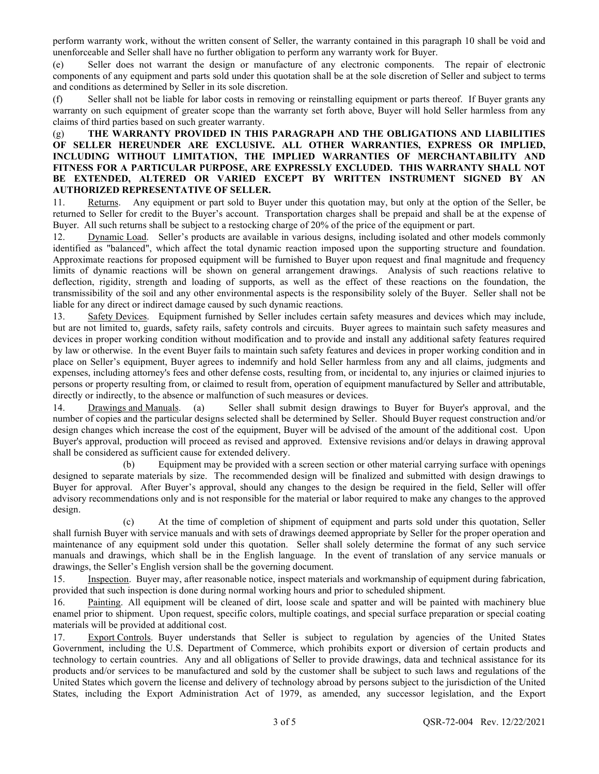perform warranty work, without the written consent of Seller, the warranty contained in this paragraph 10 shall be void and unenforceable and Seller shall have no further obligation to perform any warranty work for Buyer.

(e) Seller does not warrant the design or manufacture of any electronic components. The repair of electronic components of any equipment and parts sold under this quotation shall be at the sole discretion of Seller and subject to terms and conditions as determined by Seller in its sole discretion.

(f) Seller shall not be liable for labor costs in removing or reinstalling equipment or parts thereof. If Buyer grants any warranty on such equipment of greater scope than the warranty set forth above, Buyer will hold Seller harmless from any claims of third parties based on such greater warranty.

## (g) THE WARRANTY PROVIDED IN THIS PARAGRAPH AND THE OBLIGATIONS AND LIABILITIES OF SELLER HEREUNDER ARE EXCLUSIVE. ALL OTHER WARRANTIES, EXPRESS OR IMPLIED, INCLUDING WITHOUT LIMITATION, THE IMPLIED WARRANTIES OF MERCHANTABILITY AND FITNESS FOR A PARTICULAR PURPOSE, ARE EXPRESSLY EXCLUDED. THIS WARRANTY SHALL NOT BE EXTENDED, ALTERED OR VARIED EXCEPT BY WRITTEN INSTRUMENT SIGNED BY AN AUTHORIZED REPRESENTATIVE OF SELLER.

11. Returns. Any equipment or part sold to Buyer under this quotation may, but only at the option of the Seller, be returned to Seller for credit to the Buyer's account. Transportation charges shall be prepaid and shall be at the expense of Buyer. All such returns shall be subject to a restocking charge of 20% of the price of the equipment or part.

12. Dynamic Load. Seller's products are available in various designs, including isolated and other models commonly identified as "balanced", which affect the total dynamic reaction imposed upon the supporting structure and foundation. Approximate reactions for proposed equipment will be furnished to Buyer upon request and final magnitude and frequency limits of dynamic reactions will be shown on general arrangement drawings. Analysis of such reactions relative to deflection, rigidity, strength and loading of supports, as well as the effect of these reactions on the foundation, the transmissibility of the soil and any other environmental aspects is the responsibility solely of the Buyer. Seller shall not be liable for any direct or indirect damage caused by such dynamic reactions.

13. Safety Devices. Equipment furnished by Seller includes certain safety measures and devices which may include, but are not limited to, guards, safety rails, safety controls and circuits. Buyer agrees to maintain such safety measures and devices in proper working condition without modification and to provide and install any additional safety features required by law or otherwise. In the event Buyer fails to maintain such safety features and devices in proper working condition and in place on Seller's equipment, Buyer agrees to indemnify and hold Seller harmless from any and all claims, judgments and expenses, including attorney's fees and other defense costs, resulting from, or incidental to, any injuries or claimed injuries to persons or property resulting from, or claimed to result from, operation of equipment manufactured by Seller and attributable, directly or indirectly, to the absence or malfunction of such measures or devices.

14. Drawings and Manuals. (a) Seller shall submit design drawings to Buyer for Buyer's approval, and the number of copies and the particular designs selected shall be determined by Seller. Should Buyer request construction and/or design changes which increase the cost of the equipment, Buyer will be advised of the amount of the additional cost. Upon Buyer's approval, production will proceed as revised and approved. Extensive revisions and/or delays in drawing approval shall be considered as sufficient cause for extended delivery.

 (b) Equipment may be provided with a screen section or other material carrying surface with openings designed to separate materials by size. The recommended design will be finalized and submitted with design drawings to Buyer for approval. After Buyer's approval, should any changes to the design be required in the field, Seller will offer advisory recommendations only and is not responsible for the material or labor required to make any changes to the approved design.

 (c) At the time of completion of shipment of equipment and parts sold under this quotation, Seller shall furnish Buyer with service manuals and with sets of drawings deemed appropriate by Seller for the proper operation and maintenance of any equipment sold under this quotation. Seller shall solely determine the format of any such service manuals and drawings, which shall be in the English language. In the event of translation of any service manuals or drawings, the Seller's English version shall be the governing document.

15. Inspection. Buyer may, after reasonable notice, inspect materials and workmanship of equipment during fabrication, provided that such inspection is done during normal working hours and prior to scheduled shipment.

16. Painting. All equipment will be cleaned of dirt, loose scale and spatter and will be painted with machinery blue enamel prior to shipment. Upon request, specific colors, multiple coatings, and special surface preparation or special coating materials will be provided at additional cost.

17. Export Controls. Buyer understands that Seller is subject to regulation by agencies of the United States Government, including the U.S. Department of Commerce, which prohibits export or diversion of certain products and technology to certain countries. Any and all obligations of Seller to provide drawings, data and technical assistance for its products and/or services to be manufactured and sold by the customer shall be subject to such laws and regulations of the United States which govern the license and delivery of technology abroad by persons subject to the jurisdiction of the United States, including the Export Administration Act of 1979, as amended, any successor legislation, and the Export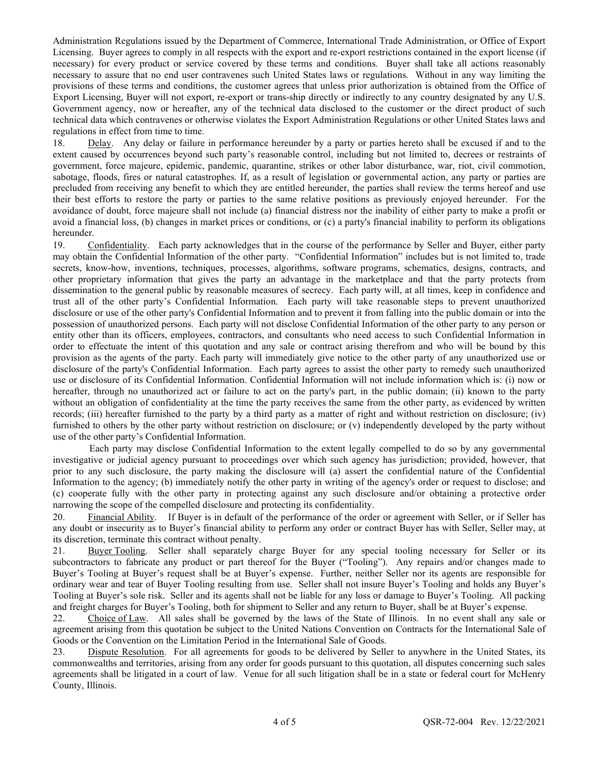Administration Regulations issued by the Department of Commerce, International Trade Administration, or Office of Export Licensing. Buyer agrees to comply in all respects with the export and re-export restrictions contained in the export license (if necessary) for every product or service covered by these terms and conditions. Buyer shall take all actions reasonably necessary to assure that no end user contravenes such United States laws or regulations. Without in any way limiting the provisions of these terms and conditions, the customer agrees that unless prior authorization is obtained from the Office of Export Licensing, Buyer will not export, re-export or trans-ship directly or indirectly to any country designated by any U.S. Government agency, now or hereafter, any of the technical data disclosed to the customer or the direct product of such technical data which contravenes or otherwise violates the Export Administration Regulations or other United States laws and regulations in effect from time to time.

18. Delay. Any delay or failure in performance hereunder by a party or parties hereto shall be excused if and to the extent caused by occurrences beyond such party's reasonable control, including but not limited to, decrees or restraints of government, force majeure, epidemic, pandemic, quarantine, strikes or other labor disturbance, war, riot, civil commotion, sabotage, floods, fires or natural catastrophes. If, as a result of legislation or governmental action, any party or parties are precluded from receiving any benefit to which they are entitled hereunder, the parties shall review the terms hereof and use their best efforts to restore the party or parties to the same relative positions as previously enjoyed hereunder. For the avoidance of doubt, force majeure shall not include (a) financial distress nor the inability of either party to make a profit or avoid a financial loss, (b) changes in market prices or conditions, or (c) a party's financial inability to perform its obligations hereunder.

19. Confidentiality. Each party acknowledges that in the course of the performance by Seller and Buyer, either party may obtain the Confidential Information of the other party. "Confidential Information" includes but is not limited to, trade secrets, know-how, inventions, techniques, processes, algorithms, software programs, schematics, designs, contracts, and other proprietary information that gives the party an advantage in the marketplace and that the party protects from dissemination to the general public by reasonable measures of secrecy. Each party will, at all times, keep in confidence and trust all of the other party's Confidential Information. Each party will take reasonable steps to prevent unauthorized disclosure or use of the other party's Confidential Information and to prevent it from falling into the public domain or into the possession of unauthorized persons. Each party will not disclose Confidential Information of the other party to any person or entity other than its officers, employees, contractors, and consultants who need access to such Confidential Information in order to effectuate the intent of this quotation and any sale or contract arising therefrom and who will be bound by this provision as the agents of the party. Each party will immediately give notice to the other party of any unauthorized use or disclosure of the party's Confidential Information. Each party agrees to assist the other party to remedy such unauthorized use or disclosure of its Confidential Information. Confidential Information will not include information which is: (i) now or hereafter, through no unauthorized act or failure to act on the party's part, in the public domain; (ii) known to the party without an obligation of confidentiality at the time the party receives the same from the other party, as evidenced by written records; (iii) hereafter furnished to the party by a third party as a matter of right and without restriction on disclosure; (iv) furnished to others by the other party without restriction on disclosure; or (v) independently developed by the party without use of the other party's Confidential Information.

Each party may disclose Confidential Information to the extent legally compelled to do so by any governmental investigative or judicial agency pursuant to proceedings over which such agency has jurisdiction; provided, however, that prior to any such disclosure, the party making the disclosure will (a) assert the confidential nature of the Confidential Information to the agency; (b) immediately notify the other party in writing of the agency's order or request to disclose; and (c) cooperate fully with the other party in protecting against any such disclosure and/or obtaining a protective order narrowing the scope of the compelled disclosure and protecting its confidentiality.

20. Financial Ability. If Buyer is in default of the performance of the order or agreement with Seller, or if Seller has any doubt or insecurity as to Buyer's financial ability to perform any order or contract Buyer has with Seller, Seller may, at its discretion, terminate this contract without penalty.

21. Buyer Tooling. Seller shall separately charge Buyer for any special tooling necessary for Seller or its subcontractors to fabricate any product or part thereof for the Buyer ("Tooling"). Any repairs and/or changes made to Buyer's Tooling at Buyer's request shall be at Buyer's expense. Further, neither Seller nor its agents are responsible for ordinary wear and tear of Buyer Tooling resulting from use. Seller shall not insure Buyer's Tooling and holds any Buyer's Tooling at Buyer's sole risk. Seller and its agents shall not be liable for any loss or damage to Buyer's Tooling. All packing and freight charges for Buyer's Tooling, both for shipment to Seller and any return to Buyer, shall be at Buyer's expense.

22. Choice of Law. All sales shall be governed by the laws of the State of Illinois. In no event shall any sale or agreement arising from this quotation be subject to the United Nations Convention on Contracts for the International Sale of Goods or the Convention on the Limitation Period in the International Sale of Goods.

23. Dispute Resolution. For all agreements for goods to be delivered by Seller to anywhere in the United States, its commonwealths and territories, arising from any order for goods pursuant to this quotation, all disputes concerning such sales agreements shall be litigated in a court of law. Venue for all such litigation shall be in a state or federal court for McHenry County, Illinois.